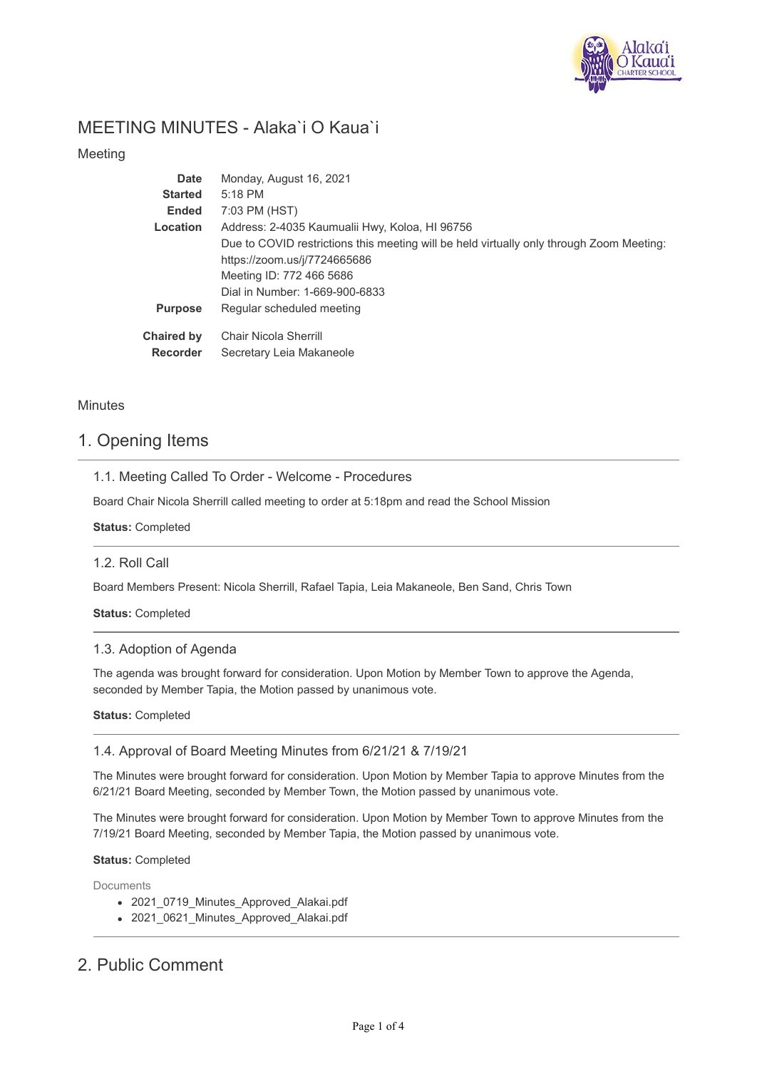

# MEETING MINUTES - Alaka`i O Kaua`i

Meeting

| <b>Date</b>       | Monday, August 16, 2021                                                                  |
|-------------------|------------------------------------------------------------------------------------------|
| <b>Started</b>    | $5:18$ PM                                                                                |
| <b>Ended</b>      | 7:03 PM (HST)                                                                            |
| Location          | Address: 2-4035 Kaumualii Hwy, Koloa, HI 96756                                           |
|                   | Due to COVID restrictions this meeting will be held virtually only through Zoom Meeting: |
|                   | https://zoom.us/j/7724665686                                                             |
|                   | Meeting ID: 772 466 5686                                                                 |
|                   | Dial in Number: 1-669-900-6833                                                           |
| <b>Purpose</b>    | Regular scheduled meeting                                                                |
| <b>Chaired by</b> | Chair Nicola Sherrill                                                                    |
| <b>Recorder</b>   | Secretary Leia Makaneole                                                                 |

### **Minutes**

## 1. Opening Items

1.1. Meeting Called To Order - Welcome - Procedures

Board Chair Nicola Sherrill called meeting to order at 5:18pm and read the School Mission

**Status:** Completed

#### 1.2. Roll Call

Board Members Present: Nicola Sherrill, Rafael Tapia, Leia Makaneole, Ben Sand, Chris Town

**Status:** Completed

#### 1.3. Adoption of Agenda

The agenda was brought forward for consideration. Upon Motion by Member Town to approve the Agenda, seconded by Member Tapia, the Motion passed by unanimous vote.

#### **Status:** Completed

### 1.4. Approval of Board Meeting Minutes from 6/21/21 & 7/19/21

The Minutes were brought forward for consideration. Upon Motion by Member Tapia to approve Minutes from the 6/21/21 Board Meeting, seconded by Member Town, the Motion passed by unanimous vote.

The Minutes were brought forward for consideration. Upon Motion by Member Town to approve Minutes from the 7/19/21 Board Meeting, seconded by Member Tapia, the Motion passed by unanimous vote.

#### **Status:** Completed

Documents

- 2021\_0719\_Minutes\_Approved\_Alakai.pdf
- 2021\_0621\_Minutes\_Approved\_Alakai.pdf

# 2. Public Comment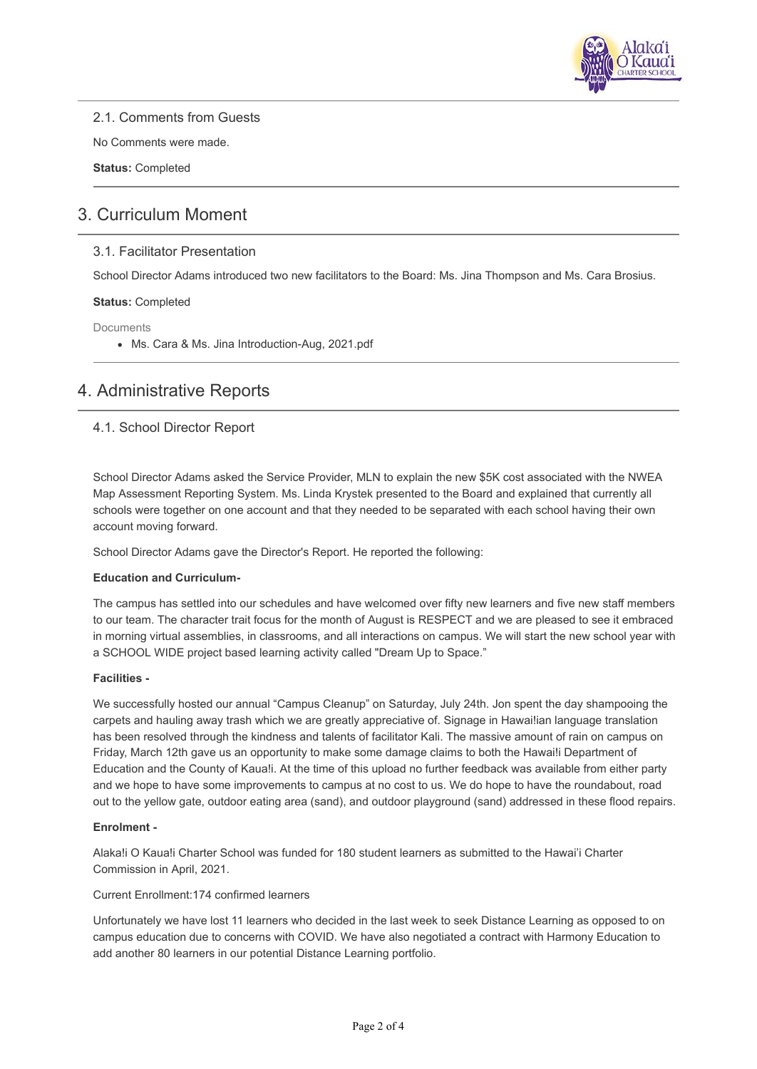

2.1. Comments from Guests

No Comments were made.

**Status:** Completed

# 3. Curriculum Moment

### 3.1. Facilitator Presentation

School Director Adams introduced two new facilitators to the Board: Ms. Jina Thompson and Ms. Cara Brosius.

#### **Status:** Completed

**Documents** 

Ms. Cara & Ms. Jina Introduction-Aug, 2021.pdf

# 4. Administrative Reports

### 4.1. School Director Report

School Director Adams asked the Service Provider, MLN to explain the new \$5K cost associated with the NWEA Map Assessment Reporting System. Ms. Linda Krystek presented to the Board and explained that currently all schools were together on one account and that they needed to be separated with each school having their own account moving forward.

School Director Adams gave the Director's Report. He reported the following:

#### **Education and Curriculum-**

The campus has settled into our schedules and have welcomed over fifty new learners and five new staff members to our team. The character trait focus for the month of August is RESPECT and we are pleased to see it embraced in morning virtual assemblies, in classrooms, and all interactions on campus. We will start the new school year with a SCHOOL WIDE project based learning activity called "Dream Up to Space."

#### **Facilities -**

We successfully hosted our annual "Campus Cleanup" on Saturday, July 24th. Jon spent the day shampooing the carpets and hauling away trash which we are greatly appreciative of. Signage in Hawai!ian language translation has been resolved through the kindness and talents of facilitator Kali. The massive amount of rain on campus on Friday, March 12th gave us an opportunity to make some damage claims to both the Hawai!i Department of Education and the County of Kaua!i. At the time of this upload no further feedback was available from either party and we hope to have some improvements to campus at no cost to us. We do hope to have the roundabout, road out to the yellow gate, outdoor eating area (sand), and outdoor playground (sand) addressed in these flood repairs.

#### **Enrolment -**

Alaka!i O Kaua!i Charter School was funded for 180 student learners as submitted to the Hawai'i Charter Commission in April, 2021.

#### Current Enrollment:174 confirmed learners

Unfortunately we have lost 11 learners who decided in the last week to seek Distance Learning as opposed to on campus education due to concerns with COVID. We have also negotiated a contract with Harmony Education to add another 80 learners in our potential Distance Learning portfolio.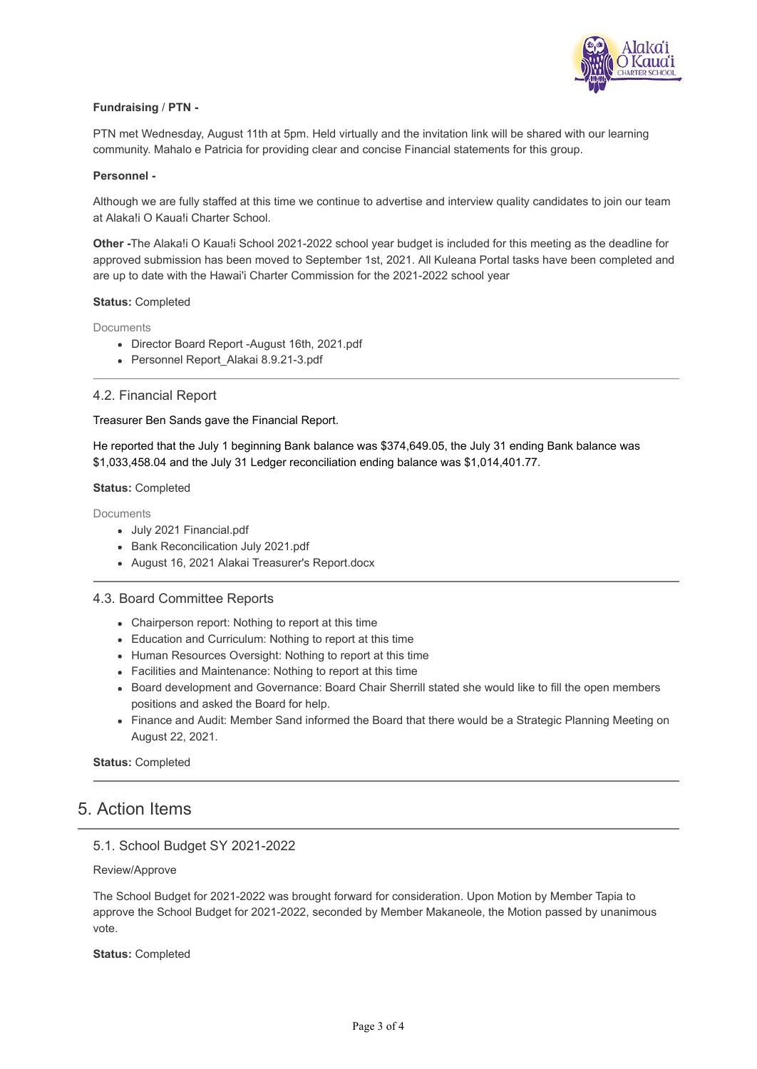

#### **Fundraising** / **PTN -**

PTN met Wednesday, August 11th at 5pm. Held virtually and the invitation link will be shared with our learning community. Mahalo e Patricia for providing clear and concise Financial statements for this group.

#### **Personnel -**

Although we are fully staffed at this time we continue to advertise and interview quality candidates to join our team at Alaka!i O Kaua!i Charter School.

**Other -**The Alaka!i O Kaua!i School 2021-2022 school year budget is included for this meeting as the deadline for approved submission has been moved to September 1st, 2021. All Kuleana Portal tasks have been completed and are up to date with the Hawai'i Charter Commission for the 2021-2022 school year

#### **Status:** Completed

**Documents** 

- Director Board Report -August 16th, 2021.pdf
- Personnel Report Alakai 8.9.21-3.pdf

#### 4.2. Financial Report

#### Treasurer Ben Sands gave the Financial Report.

He reported that the July 1 beginning Bank balance was \$374,649.05, the July 31 ending Bank balance was \$1,033,458.04 and the July 31 Ledger reconciliation ending balance was \$1,014,401.77.

#### **Status:** Completed

**Documents** 

- July 2021 Financial.pdf
- Bank Reconcilication July 2021.pdf
- August 16, 2021 Alakai Treasurer's Report.docx

#### 4.3. Board Committee Reports

- Chairperson report: Nothing to report at this time
- Education and Curriculum: Nothing to report at this time
- Human Resources Oversight: Nothing to report at this time
- Facilities and Maintenance: Nothing to report at this time
- Board development and Governance: Board Chair Sherrill stated she would like to fill the open members positions and asked the Board for help.
- Finance and Audit: Member Sand informed the Board that there would be a Strategic Planning Meeting on August 22, 2021.

**Status:** Completed

### 5. Action Items

### 5.1. School Budget SY 2021-2022

Review/Approve

The School Budget for 2021-2022 was brought forward for consideration. Upon Motion by Member Tapia to approve the School Budget for 2021-2022, seconded by Member Makaneole, the Motion passed by unanimous vote.

**Status:** Completed